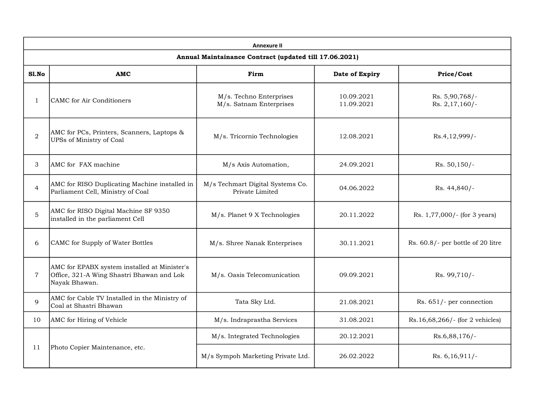| <b>Annexure II</b>                                     |                                                                                                            |                                                     |                          |                                   |  |  |  |
|--------------------------------------------------------|------------------------------------------------------------------------------------------------------------|-----------------------------------------------------|--------------------------|-----------------------------------|--|--|--|
| Annual Maintainance Contract (updated till 17.06.2021) |                                                                                                            |                                                     |                          |                                   |  |  |  |
| Sl.No                                                  | AMC                                                                                                        | Firm                                                | Date of Expiry           | Price/Cost                        |  |  |  |
| $\mathbf{1}$                                           | CAMC for Air Conditioners                                                                                  | M/s. Techno Enterprises<br>M/s. Satnam Enterprises  | 10.09.2021<br>11.09.2021 | Rs. 5,90,768/-<br>Rs. 2,17,160/-  |  |  |  |
| $\overline{2}$                                         | AMC for PCs, Printers, Scanners, Laptops &<br>UPSs of Ministry of Coal                                     | M/s. Tricornio Technologies                         | 12.08.2021               | Rs.4,12,999/-                     |  |  |  |
| 3                                                      | AMC for FAX machine                                                                                        | M/s Axis Automation,                                | 24.09.2021               | $Rs. 50,150/-$                    |  |  |  |
| $\overline{4}$                                         | AMC for RISO Duplicating Machine installed in<br>Parliament Cell, Ministry of Coal                         | M/s Techmart Digital Systems Co.<br>Private Limited | 04.06.2022               | Rs. 44,840/-                      |  |  |  |
| 5                                                      | AMC for RISO Digital Machine SF 9350<br>installed in the parliament Cell                                   | M/s. Planet 9 X Technologies                        | 20.11.2022               | Rs. 1,77,000/- (for 3 years)      |  |  |  |
| 6                                                      | CAMC for Supply of Water Bottles                                                                           | M/s. Shree Nanak Enterprises                        | 30.11.2021               | Rs. 60.8/- per bottle of 20 litre |  |  |  |
| $\overline{7}$                                         | AMC for EPABX system installed at Minister's<br>Office, 321-A Wing Shastri Bhawan and Lok<br>Nayak Bhawan. | M/s. Oasis Telecomunication                         | 09.09.2021               | Rs. 99,710/-                      |  |  |  |
| 9                                                      | AMC for Cable TV Installed in the Ministry of<br>Coal at Shastri Bhawan                                    | Tata Sky Ltd.                                       | 21.08.2021               | Rs. 651/- per connection          |  |  |  |
| 10                                                     | AMC for Hiring of Vehicle                                                                                  | M/s. Indraprastha Services                          | 31.08.2021               | Rs.16,68,266/- (for 2 vehicles)   |  |  |  |
| 11                                                     | Photo Copier Maintenance, etc.                                                                             | M/s. Integrated Technologies                        | 20.12.2021               | Rs.6,88,176/-                     |  |  |  |
|                                                        |                                                                                                            | M/s Sympoh Marketing Private Ltd.                   | 26.02.2022               | Rs. $6,16,911/-$                  |  |  |  |